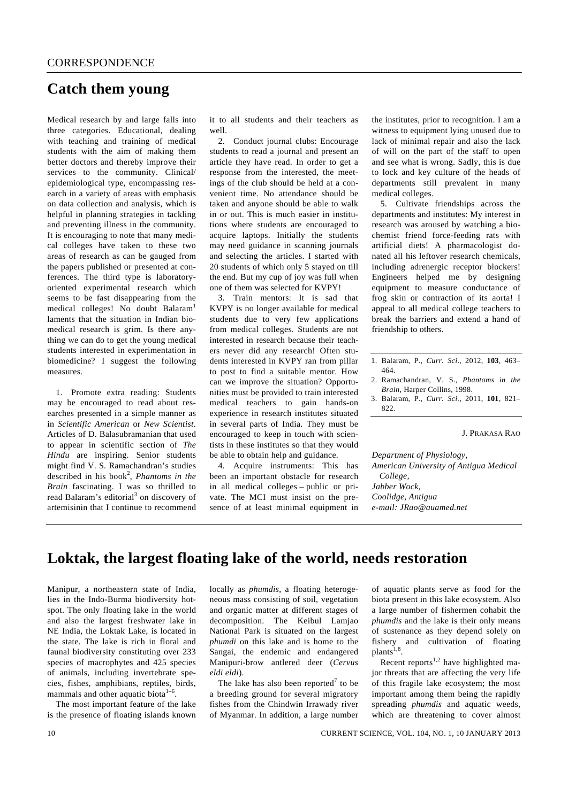## **Catch them young**

Medical research by and large falls into three categories. Educational, dealing with teaching and training of medical students with the aim of making them better doctors and thereby improve their services to the community. Clinical/ epidemiological type, encompassing research in a variety of areas with emphasis on data collection and analysis, which is helpful in planning strategies in tackling and preventing illness in the community. It is encouraging to note that many medical colleges have taken to these two areas of research as can be gauged from the papers published or presented at conferences. The third type is laboratoryoriented experimental research which seems to be fast disappearing from the medical colleges! No doubt Balaram<sup>1</sup> laments that the situation in Indian biomedical research is grim. Is there anything we can do to get the young medical students interested in experimentation in biomedicine? I suggest the following measures.

 1. Promote extra reading: Students may be encouraged to read about researches presented in a simple manner as in *Scientific American* or *New Scientist*. Articles of D. Balasubramanian that used to appear in scientific section of *The Hindu* are inspiring. Senior students might find V. S. Ramachandran's studies described in his book<sup>2</sup>, *Phantoms in the Brain* fascinating. I was so thrilled to read Balaram's editorial<sup>3</sup> on discovery of artemisinin that I continue to recommend

it to all students and their teachers as well.

 2. Conduct journal clubs: Encourage students to read a journal and present an article they have read. In order to get a response from the interested, the meetings of the club should be held at a convenient time. No attendance should be taken and anyone should be able to walk in or out. This is much easier in institutions where students are encouraged to acquire laptops. Initially the students may need guidance in scanning journals and selecting the articles. I started with 20 students of which only 5 stayed on till the end. But my cup of joy was full when one of them was selected for KVPY!

 3. Train mentors: It is sad that KVPY is no longer available for medical students due to very few applications from medical colleges. Students are not interested in research because their teachers never did any research! Often students interested in KVPY ran from pillar to post to find a suitable mentor. How can we improve the situation? Opportunities must be provided to train interested medical teachers to gain hands-on experience in research institutes situated in several parts of India. They must be encouraged to keep in touch with scientists in these institutes so that they would be able to obtain help and guidance.

 4. Acquire instruments: This has been an important obstacle for research in all medical colleges – public or private. The MCI must insist on the presence of at least minimal equipment in the institutes, prior to recognition. I am a witness to equipment lying unused due to lack of minimal repair and also the lack of will on the part of the staff to open and see what is wrong. Sadly, this is due to lock and key culture of the heads of departments still prevalent in many medical colleges.

 5. Cultivate friendships across the departments and institutes: My interest in research was aroused by watching a biochemist friend force-feeding rats with artificial diets! A pharmacologist donated all his leftover research chemicals, including adrenergic receptor blockers! Engineers helped me by designing equipment to measure conductance of frog skin or contraction of its aorta! I appeal to all medical college teachers to break the barriers and extend a hand of friendship to others.

## J. PRAKASA RAO

*Department of Physiology, American University of Antigua Medical College, Jabber Wock, Coolidge, Antigua e-mail: JRao@auamed.net* 

## **Loktak, the largest floating lake of the world, needs restoration**

Manipur, a northeastern state of India, lies in the Indo-Burma biodiversity hotspot. The only floating lake in the world and also the largest freshwater lake in NE India, the Loktak Lake, is located in the state. The lake is rich in floral and faunal biodiversity constituting over 233 species of macrophytes and 425 species of animals, including invertebrate species, fishes, amphibians, reptiles, birds, mammals and other aquatic biota<sup>1-6</sup>.

 The most important feature of the lake is the presence of floating islands known locally as *phumdis*, a floating heterogeneous mass consisting of soil, vegetation and organic matter at different stages of decomposition. The Keibul Lamjao National Park is situated on the largest *phumdi* on this lake and is home to the Sangai, the endemic and endangered Manipuri-brow antlered deer (*Cervus eldi eldi*).

The lake has also been reported<sup>7</sup> to be a breeding ground for several migratory fishes from the Chindwin Irrawady river of Myanmar. In addition, a large number

of aquatic plants serve as food for the biota present in this lake ecosystem. Also a large number of fishermen cohabit the *phumdis* and the lake is their only means of sustenance as they depend solely on fishery and cultivation of floating plants<sup>1,8</sup>.

Recent reports<sup>1,2</sup> have highlighted major threats that are affecting the very life of this fragile lake ecosystem; the most important among them being the rapidly spreading *phumdis* and aquatic weeds, which are threatening to cover almost

<sup>1.</sup> Balaram, P., *Curr. Sci*., 2012, **103**, 463– 464.

<sup>2.</sup> Ramachandran, V. S., *Phantoms in the Brain*, Harper Collins, 1998.

<sup>3.</sup> Balaram, P., *Curr. Sci.*, 2011, **101**, 821– 822.